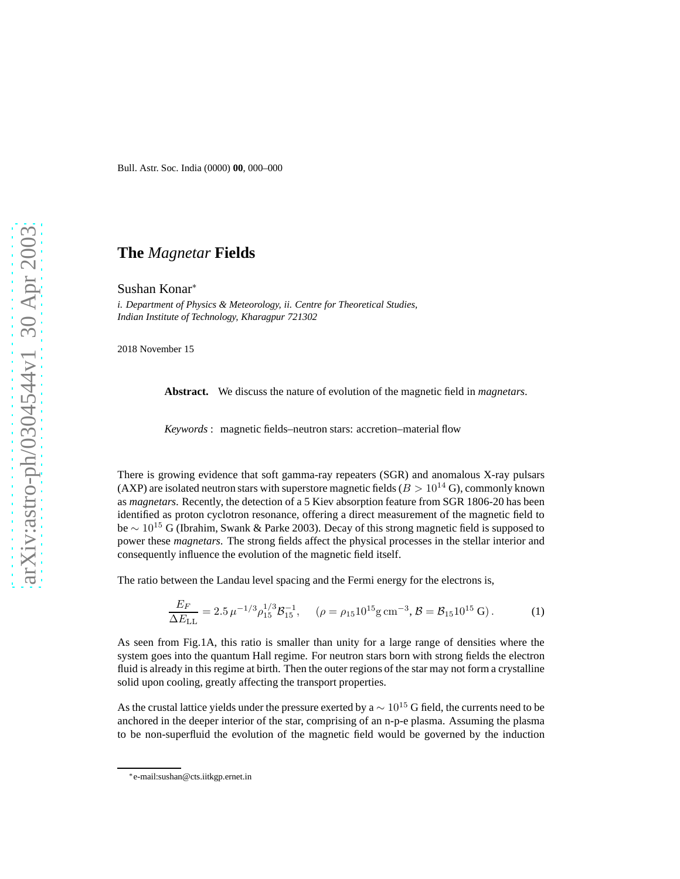Bull. Astr. Soc. India (0000) **00**, 000–000

## **The** *Magnetar* **Fields**

Sushan Konar<sup>∗</sup>

*i. Department of Physics & Meteorology, ii. Centre for Theoretical Studies, Indian Institute of Technology, Kharagpur 721302*

2018 November 15

**Abstract.** We discuss the nature of evolution of the magnetic field in *magnetars*.

*Keywords* : magnetic fields–neutron stars: accretion–material flow

There is growing evidence that soft gamma-ray repeaters (SGR) and anomalous X-ray pulsars (AXP) are isolated neutron stars with superstore magnetic fields ( $B > 10^{14}$  G), commonly known as *magnetars*. Recently, the detection of a 5 Kiev absorption feature from SGR 1806-20 has been identified as proton cyclotron resonance, offering a direct measurement of the magnetic field to be  $\sim 10^{15}$  G (Ibrahim, Swank & Parke 2003). Decay of this strong magnetic field is supposed to power these *magnetars*. The strong fields affect the physical processes in the stellar interior and consequently influence the evolution of the magnetic field itself.

The ratio between the Landau level spacing and the Fermi energy for the electrons is,

$$
\frac{E_F}{\Delta E_{\rm LL}} = 2.5 \,\mu^{-1/3} \rho_{15}^{1/3} \mathcal{B}_{15}^{-1}, \quad (\rho = \rho_{15} 10^{15} \text{g cm}^{-3}, \mathcal{B} = \mathcal{B}_{15} 10^{15} \text{ G}). \tag{1}
$$

As seen from Fig.1A, this ratio is smaller than unity for a large range of densities where the system goes into the quantum Hall regime. For neutron stars born with strong fields the electron fluid is already in this regime at birth. Then the outer regions of the star may not form a crystalline solid upon cooling, greatly affecting the transport properties.

As the crustal lattice yields under the pressure exerted by a  $\sim 10^{15}$  G field, the currents need to be anchored in the deeper interior of the star, comprising of an n-p-e plasma. Assuming the plasma to be non-superfluid the evolution of the magnetic field would be governed by the induction

<sup>∗</sup>e-mail:sushan@cts.iitkgp.ernet.in